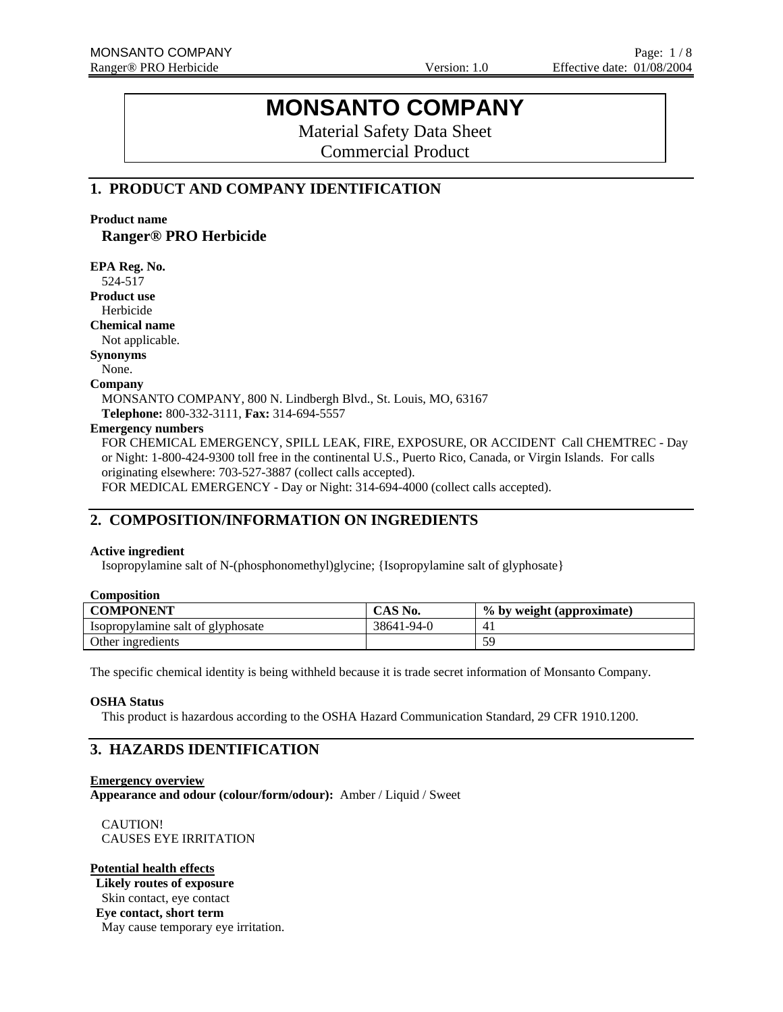# **MONSANTO COMPANY**

Material Safety Data Sheet

Commercial Product

# **1. PRODUCT AND COMPANY IDENTIFICATION**

**Product name** 

**Ranger® PRO Herbicide EPA Reg. No.** 

| 524-517                                                                                                       |
|---------------------------------------------------------------------------------------------------------------|
| <b>Product use</b>                                                                                            |
| Herbicide                                                                                                     |
| <b>Chemical name</b>                                                                                          |
| Not applicable.                                                                                               |
| <b>Synonyms</b>                                                                                               |
| None.                                                                                                         |
| Company                                                                                                       |
| MONSANTO COMPANY, 800 N. Lindbergh Blvd., St. Louis, MO, 63167                                                |
| Telephone: 800-332-3111, Fax: 314-694-5557                                                                    |
| <b>Emergency numbers</b>                                                                                      |
| FOR CHEMICAL EMERGENCY, SPILL LEAK, FIRE, EXPOSURE, OR ACCIDENT Call CHEMTREC - Day                           |
| or Night: 1-800-424-9300 toll free in the continental U.S., Puerto Rico, Canada, or Virgin Islands. For calls |
| originating elsewhere: 703-527-3887 (collect calls accepted).                                                 |
| FOR MEDICAL EMERGENCY - Day or Night: 314-694-4000 (collect calls accepted).                                  |

# **2. COMPOSITION/INFORMATION ON INGREDIENTS**

### **Active ingredient**

Isopropylamine salt of N-(phosphonomethyl)glycine; {Isopropylamine salt of glyphosate}

| <b>COMPONENT</b>                  | CAS No.    | % by weight (approximate) |
|-----------------------------------|------------|---------------------------|
| Isopropylamine salt of glyphosate | 38641-94-0 |                           |
| Other ingredients                 |            | 50                        |

The specific chemical identity is being withheld because it is trade secret information of Monsanto Company.

### **OSHA Status**

This product is hazardous according to the OSHA Hazard Communication Standard, 29 CFR 1910.1200.

# **3. HAZARDS IDENTIFICATION**

**Emergency overview**

**Appearance and odour (colour/form/odour):** Amber / Liquid / Sweet

CAUTION! CAUSES EYE IRRITATION

### **Potential health effects**

**Likely routes of exposure** Skin contact, eye contact **Eye contact, short term** 

May cause temporary eye irritation.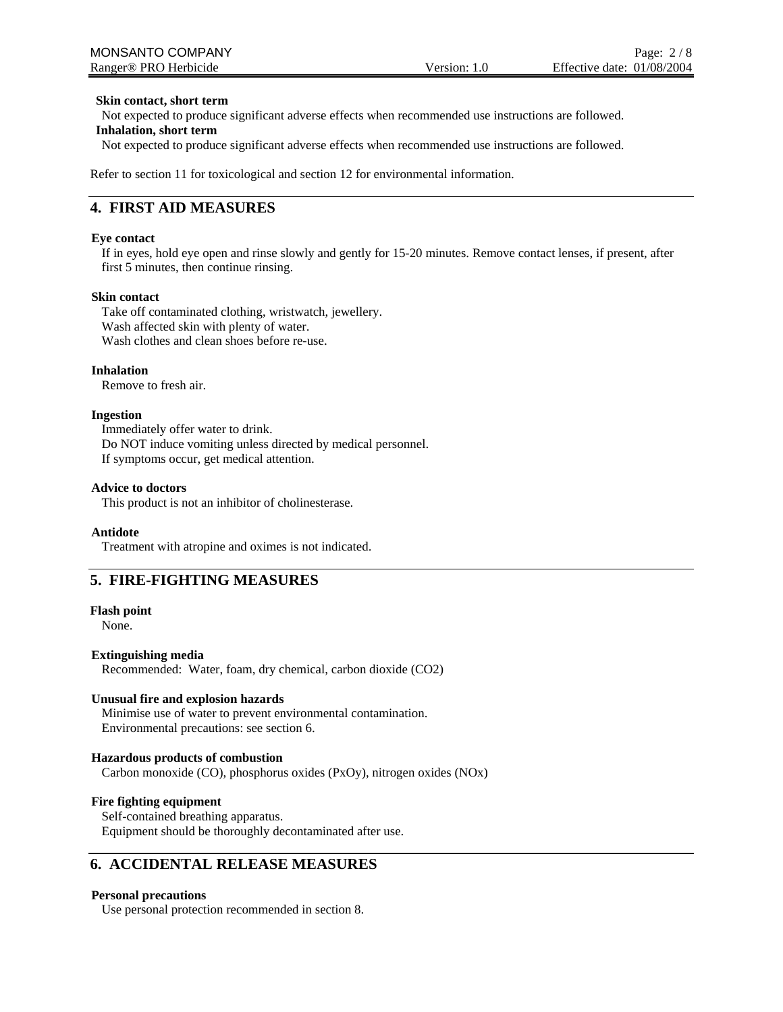#### **Skin contact, short term**

Not expected to produce significant adverse effects when recommended use instructions are followed.

#### **Inhalation, short term**

Not expected to produce significant adverse effects when recommended use instructions are followed.

Refer to section 11 for toxicological and section 12 for environmental information.

### **4. FIRST AID MEASURES**

### **Eye contact**

If in eyes, hold eye open and rinse slowly and gently for 15-20 minutes. Remove contact lenses, if present, after first 5 minutes, then continue rinsing.

#### **Skin contact**

Take off contaminated clothing, wristwatch, jewellery. Wash affected skin with plenty of water. Wash clothes and clean shoes before re-use.

#### **Inhalation**

Remove to fresh air.

#### **Ingestion**

Immediately offer water to drink. Do NOT induce vomiting unless directed by medical personnel. If symptoms occur, get medical attention.

#### **Advice to doctors**

This product is not an inhibitor of cholinesterase.

#### **Antidote**

Treatment with atropine and oximes is not indicated.

# **5. FIRE-FIGHTING MEASURES**

#### **Flash point**

None.

### **Extinguishing media**

Recommended: Water, foam, dry chemical, carbon dioxide (CO2)

### **Unusual fire and explosion hazards**

Minimise use of water to prevent environmental contamination. Environmental precautions: see section 6.

### **Hazardous products of combustion**

Carbon monoxide (CO), phosphorus oxides (PxOy), nitrogen oxides (NOx)

### **Fire fighting equipment**

Self-contained breathing apparatus. Equipment should be thoroughly decontaminated after use.

# **6. ACCIDENTAL RELEASE MEASURES**

#### **Personal precautions**

Use personal protection recommended in section 8.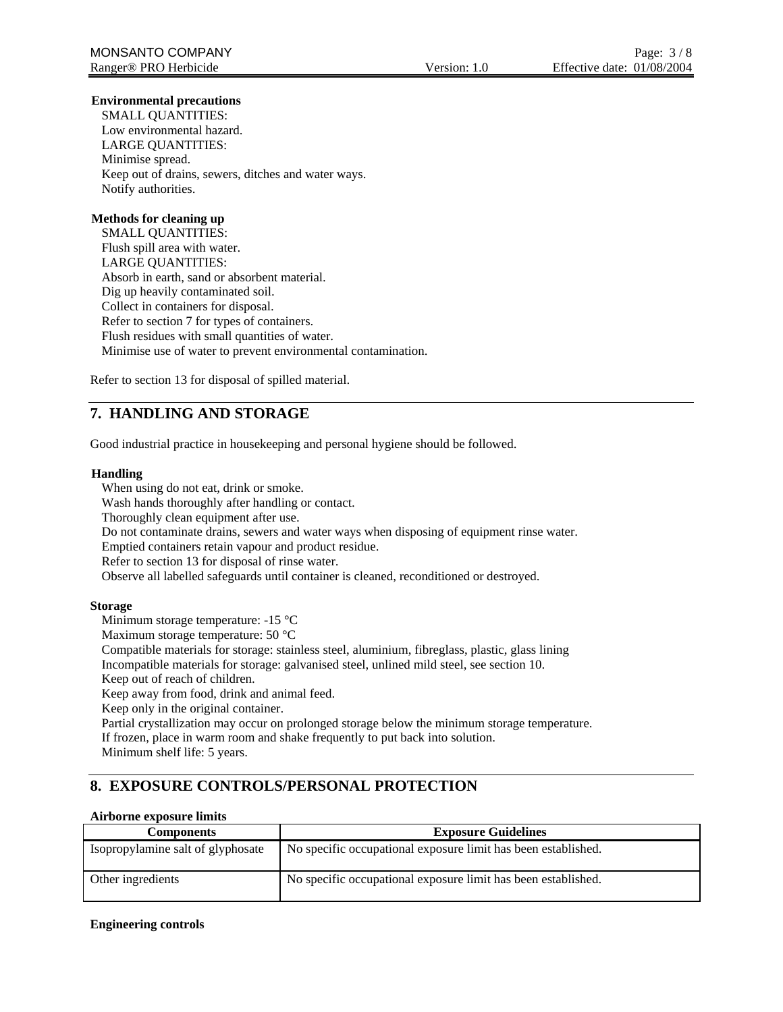### **Environmental precautions**

SMALL QUANTITIES: Low environmental hazard. LARGE QUANTITIES: Minimise spread. Keep out of drains, sewers, ditches and water ways. Notify authorities.

### **Methods for cleaning up**

SMALL QUANTITIES: Flush spill area with water. LARGE QUANTITIES: Absorb in earth, sand or absorbent material. Dig up heavily contaminated soil. Collect in containers for disposal. Refer to section 7 for types of containers. Flush residues with small quantities of water. Minimise use of water to prevent environmental contamination.

Refer to section 13 for disposal of spilled material.

# **7. HANDLING AND STORAGE**

Good industrial practice in housekeeping and personal hygiene should be followed.

#### **Handling**

When using do not eat, drink or smoke.

Wash hands thoroughly after handling or contact.

Thoroughly clean equipment after use.

Do not contaminate drains, sewers and water ways when disposing of equipment rinse water.

Emptied containers retain vapour and product residue.

Refer to section 13 for disposal of rinse water.

Observe all labelled safeguards until container is cleaned, reconditioned or destroyed.

### **Storage**

Minimum storage temperature: -15 °C

Maximum storage temperature: 50 °C

Compatible materials for storage: stainless steel, aluminium, fibreglass, plastic, glass lining Incompatible materials for storage: galvanised steel, unlined mild steel, see section 10.

Keep out of reach of children.

Keep away from food, drink and animal feed.

Keep only in the original container.

Partial crystallization may occur on prolonged storage below the minimum storage temperature.

If frozen, place in warm room and shake frequently to put back into solution.

Minimum shelf life: 5 years.

# **8. EXPOSURE CONTROLS/PERSONAL PROTECTION**

### **Airborne exposure limits**

| <b>Components</b>                 | <b>Exposure Guidelines</b>                                    |
|-----------------------------------|---------------------------------------------------------------|
| Isopropylamine salt of glyphosate | No specific occupational exposure limit has been established. |
| Other ingredients                 | No specific occupational exposure limit has been established. |

### **Engineering controls**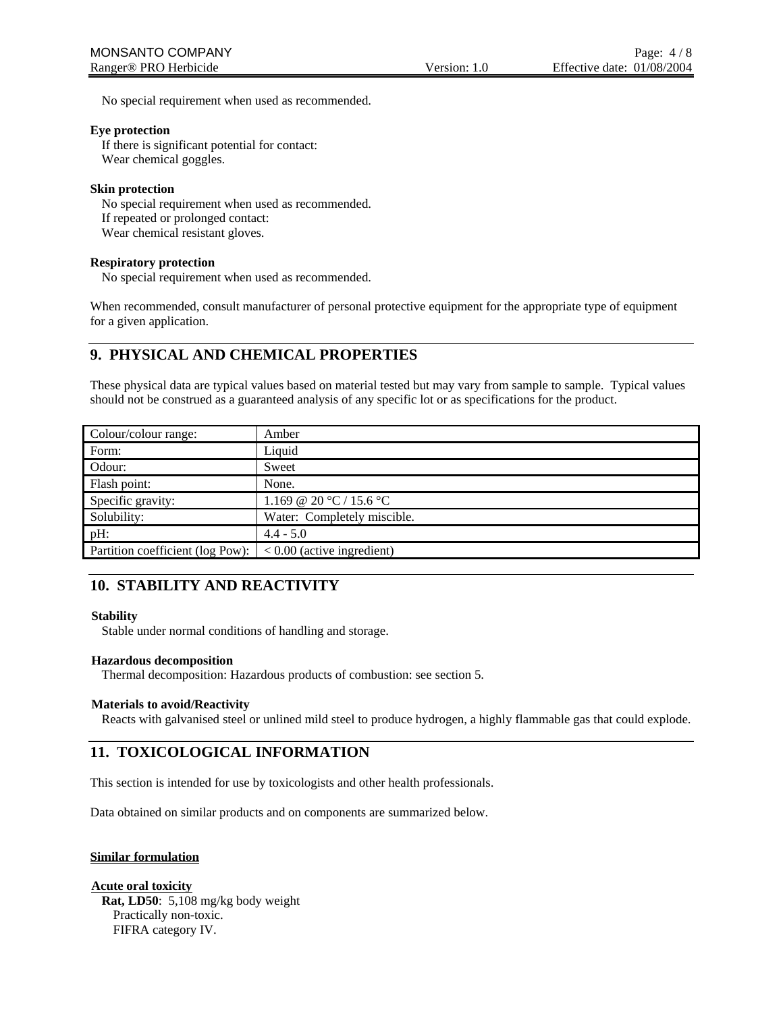No special requirement when used as recommended.

#### **Eye protection**

If there is significant potential for contact: Wear chemical goggles.

#### **Skin protection**

No special requirement when used as recommended. If repeated or prolonged contact: Wear chemical resistant gloves.

### **Respiratory protection**

No special requirement when used as recommended.

When recommended, consult manufacturer of personal protective equipment for the appropriate type of equipment for a given application.

# **9. PHYSICAL AND CHEMICAL PROPERTIES**

These physical data are typical values based on material tested but may vary from sample to sample. Typical values should not be construed as a guaranteed analysis of any specific lot or as specifications for the product.

| Colour/colour range:             | Amber                        |
|----------------------------------|------------------------------|
| Form:                            | Liquid                       |
| Odour:                           | Sweet                        |
| Flash point:                     | None.                        |
| Specific gravity:                | 1.169 @ 20 °C / 15.6 °C      |
| Solubility:                      | Water: Completely miscible.  |
| $pH$ :                           | $4.4 - 5.0$                  |
| Partition coefficient (log Pow): | $< 0.00$ (active ingredient) |

# **10. STABILITY AND REACTIVITY**

### **Stability**

Stable under normal conditions of handling and storage.

### **Hazardous decomposition**

Thermal decomposition: Hazardous products of combustion: see section 5.

### **Materials to avoid/Reactivity**

Reacts with galvanised steel or unlined mild steel to produce hydrogen, a highly flammable gas that could explode.

# **11. TOXICOLOGICAL INFORMATION**

This section is intended for use by toxicologists and other health professionals.

Data obtained on similar products and on components are summarized below.

### **Similar formulation**

### **Acute oral toxicity**

**Rat, LD50**: 5,108 mg/kg body weight Practically non-toxic. FIFRA category IV.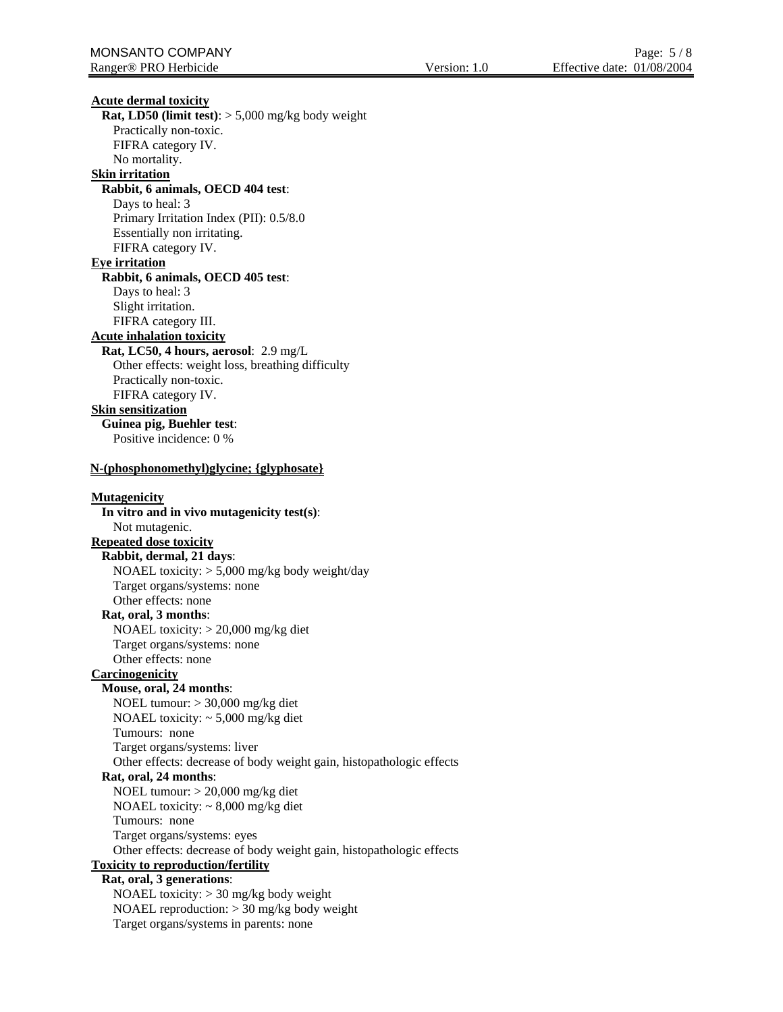**Acute dermal toxicity Rat, LD50 (limit test)**: > 5,000 mg/kg body weight Practically non-toxic. FIFRA category IV. No mortality. **Skin irritation Rabbit, 6 animals, OECD 404 test**: Days to heal: 3 Primary Irritation Index (PII): 0.5/8.0 Essentially non irritating. FIFRA category IV. **Eye irritation Rabbit, 6 animals, OECD 405 test**: Days to heal: 3 Slight irritation. FIFRA category III. **Acute inhalation toxicity Rat, LC50, 4 hours, aerosol**: 2.9 mg/L Other effects: weight loss, breathing difficulty Practically non-toxic. FIFRA category IV. **Skin sensitization Guinea pig, Buehler test**: Positive incidence: 0 % **N-(phosphonomethyl)glycine; {glyphosate} Mutagenicity In vitro and in vivo mutagenicity test(s)**: Not mutagenic. **Repeated dose toxicity Rabbit, dermal, 21 days**: NOAEL toxicity: > 5,000 mg/kg body weight/day Target organs/systems: none Other effects: none **Rat, oral, 3 months**: NOAEL toxicity: > 20,000 mg/kg diet Target organs/systems: none Other effects: none **Carcinogenicity Mouse, oral, 24 months**: NOEL tumour: > 30,000 mg/kg diet NOAEL toxicity: ~ 5,000 mg/kg diet Tumours: none Target organs/systems: liver Other effects: decrease of body weight gain, histopathologic effects **Rat, oral, 24 months**: NOEL tumour: > 20,000 mg/kg diet NOAEL toxicity: ~ 8,000 mg/kg diet Tumours: none Target organs/systems: eyes Other effects: decrease of body weight gain, histopathologic effects **Toxicity to reproduction/fertility Rat, oral, 3 generations**: NOAEL toxicity: > 30 mg/kg body weight NOAEL reproduction: > 30 mg/kg body weight Target organs/systems in parents: none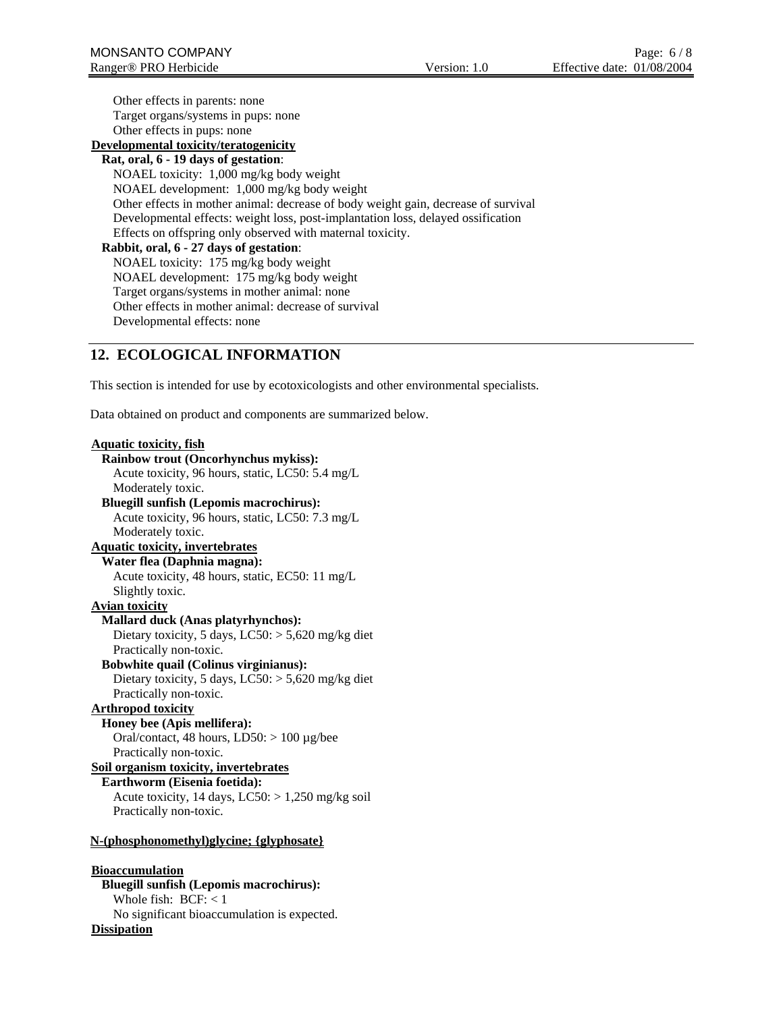Other effects in parents: none Target organs/systems in pups: none Other effects in pups: none **Developmental toxicity/teratogenicity Rat, oral, 6 - 19 days of gestation**: NOAEL toxicity: 1,000 mg/kg body weight NOAEL development: 1,000 mg/kg body weight Other effects in mother animal: decrease of body weight gain, decrease of survival Developmental effects: weight loss, post-implantation loss, delayed ossification Effects on offspring only observed with maternal toxicity. **Rabbit, oral, 6 - 27 days of gestation**: NOAEL toxicity: 175 mg/kg body weight NOAEL development: 175 mg/kg body weight Target organs/systems in mother animal: none Other effects in mother animal: decrease of survival Developmental effects: none

# **12. ECOLOGICAL INFORMATION**

This section is intended for use by ecotoxicologists and other environmental specialists.

Data obtained on product and components are summarized below.

### **Aquatic toxicity, fish Rainbow trout (Oncorhynchus mykiss):** Acute toxicity, 96 hours, static, LC50: 5.4 mg/L Moderately toxic. **Bluegill sunfish (Lepomis macrochirus):** Acute toxicity, 96 hours, static, LC50: 7.3 mg/L Moderately toxic. **Aquatic toxicity, invertebrates Water flea (Daphnia magna):** Acute toxicity, 48 hours, static, EC50: 11 mg/L Slightly toxic. **Avian toxicity Mallard duck (Anas platyrhynchos):** Dietary toxicity, 5 days, LC50: > 5,620 mg/kg diet Practically non-toxic. **Bobwhite quail (Colinus virginianus):** Dietary toxicity, 5 days, LC50: > 5,620 mg/kg diet Practically non-toxic. **Arthropod toxicity Honey bee (Apis mellifera):** Oral/contact, 48 hours,  $LD50: > 100 \mu g/bee$ Practically non-toxic. **Soil organism toxicity, invertebrates Earthworm (Eisenia foetida):** Acute toxicity, 14 days,  $LC50$ :  $> 1,250$  mg/kg soil Practically non-toxic. **N-(phosphonomethyl)glycine; {glyphosate} Bioaccumulation Bluegill sunfish (Lepomis macrochirus):** Whole fish: BCF: < 1

No significant bioaccumulation is expected.

**Dissipation**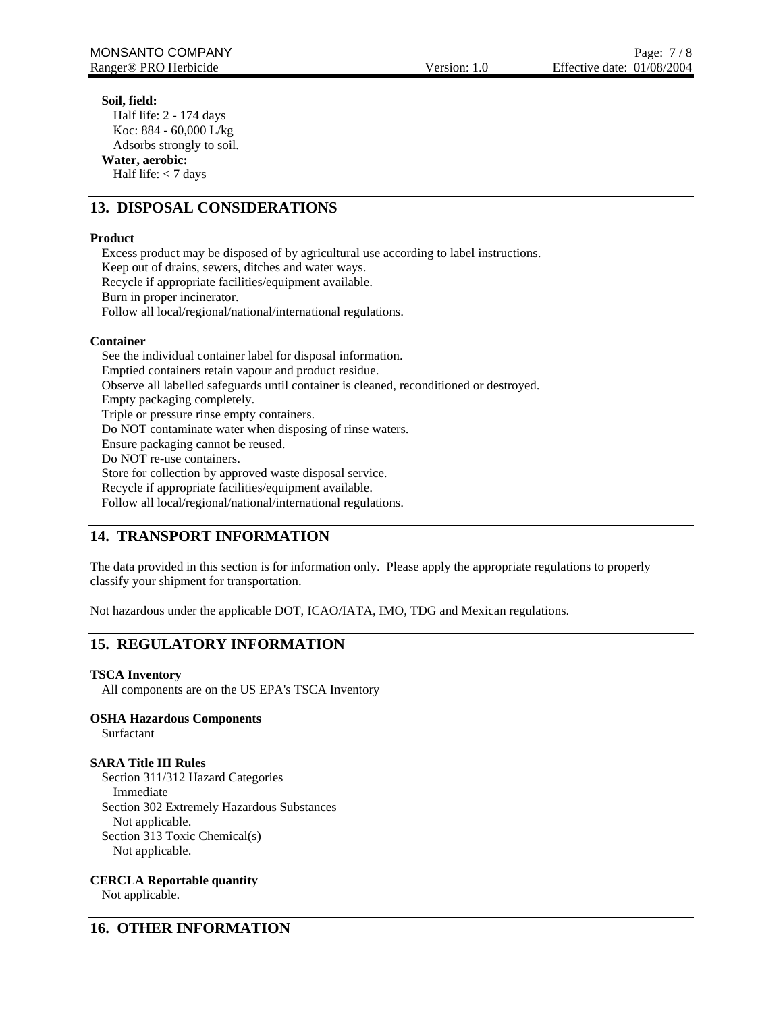### **Soil, field:**

Half life: 2 - 174 days Koc: 884 - 60,000 L/kg Adsorbs strongly to soil. **Water, aerobic:** Half life:  $<$  7 days

# **13. DISPOSAL CONSIDERATIONS**

### **Product**

Excess product may be disposed of by agricultural use according to label instructions. Keep out of drains, sewers, ditches and water ways. Recycle if appropriate facilities/equipment available. Burn in proper incinerator. Follow all local/regional/national/international regulations.

### **Container**

See the individual container label for disposal information. Emptied containers retain vapour and product residue. Observe all labelled safeguards until container is cleaned, reconditioned or destroyed. Empty packaging completely. Triple or pressure rinse empty containers. Do NOT contaminate water when disposing of rinse waters. Ensure packaging cannot be reused. Do NOT re-use containers. Store for collection by approved waste disposal service. Recycle if appropriate facilities/equipment available. Follow all local/regional/national/international regulations.

# **14. TRANSPORT INFORMATION**

The data provided in this section is for information only. Please apply the appropriate regulations to properly classify your shipment for transportation.

Not hazardous under the applicable DOT, ICAO/IATA, IMO, TDG and Mexican regulations.

# **15. REGULATORY INFORMATION**

### **TSCA Inventory**

All components are on the US EPA's TSCA Inventory

### **OSHA Hazardous Components**

Surfactant

### **SARA Title III Rules**

Section 311/312 Hazard Categories Immediate Section 302 Extremely Hazardous Substances Not applicable. Section 313 Toxic Chemical(s) Not applicable.

**CERCLA Reportable quantity** 

Not applicable.